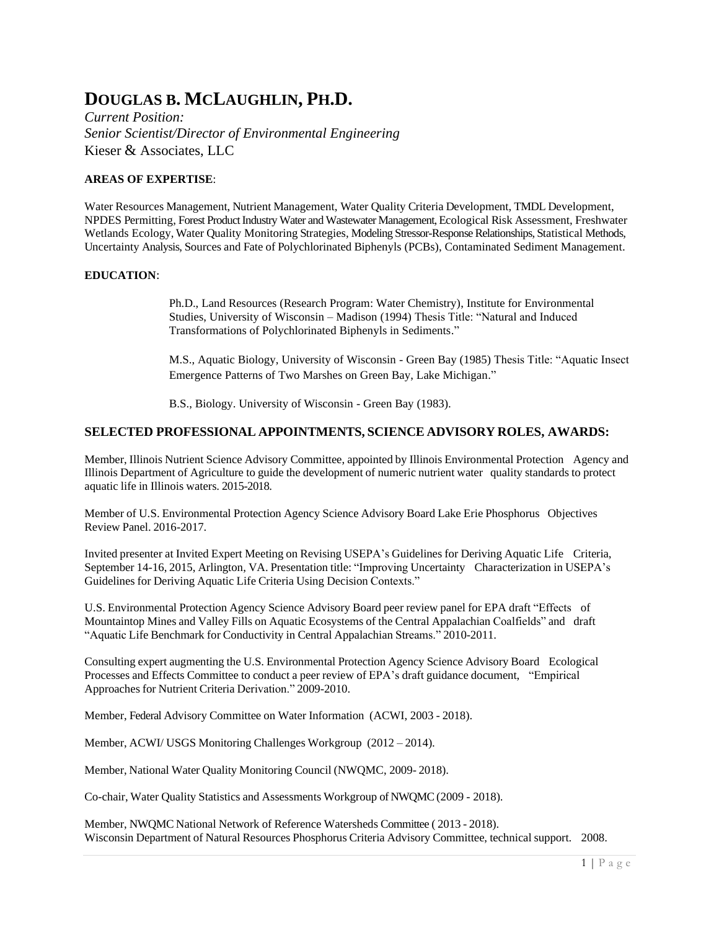# **DOUGLAS B. MCLAUGHLIN, PH.D.**

*Current Position: Senior Scientist/Director of Environmental Engineering* Kieser & Associates, LLC

## **AREAS OF EXPERTISE**:

Water Resources Management, Nutrient Management, Water Quality Criteria Development, TMDL Development, NPDES Permitting, Forest Product Industry Water and Wastewater Management, Ecological Risk Assessment, Freshwater Wetlands Ecology, Water Quality Monitoring Strategies, Modeling Stressor-Response Relationships, Statistical Methods, Uncertainty Analysis, Sources and Fate of Polychlorinated Biphenyls (PCBs), Contaminated Sediment Management.

### **EDUCATION**:

Ph.D., Land Resources (Research Program: Water Chemistry), Institute for Environmental Studies, University of Wisconsin – Madison (1994) Thesis Title: "Natural and Induced Transformations of Polychlorinated Biphenyls in Sediments."

M.S., Aquatic Biology, University of Wisconsin - Green Bay (1985) Thesis Title: "Aquatic Insect Emergence Patterns of Two Marshes on Green Bay, Lake Michigan."

B.S., Biology. University of Wisconsin - Green Bay (1983).

## **SELECTED PROFESSIONAL APPOINTMENTS, SCIENCE ADVISORY ROLES, AWARDS:**

Member, Illinois Nutrient Science Advisory Committee, appointed by Illinois Environmental Protection Agency and Illinois Department of Agriculture to guide the development of numeric nutrient water quality standards to protect aquatic life in Illinois waters. 2015-2018.

Member of U.S. Environmental Protection Agency Science Advisory Board Lake Erie Phosphorus Objectives Review Panel. 2016-2017.

Invited presenter at Invited Expert Meeting on Revising USEPA's Guidelines for Deriving Aquatic Life Criteria, September 14-16, 2015, Arlington, VA. Presentation title: "Improving Uncertainty Characterization in USEPA's Guidelines for Deriving Aquatic Life Criteria Using Decision Contexts."

U.S. Environmental Protection Agency Science Advisory Board peer review panel for EPA draft "Effects of Mountaintop Mines and Valley Fills on Aquatic Ecosystems of the Central Appalachian Coalfields" and draft "Aquatic Life Benchmark for Conductivity in Central Appalachian Streams." 2010-2011.

Consulting expert augmenting the U.S. Environmental Protection Agency Science Advisory Board Ecological Processes and Effects Committee to conduct a peer review of EPA's draft guidance document, "Empirical Approaches for Nutrient Criteria Derivation." 2009-2010.

Member, Federal Advisory Committee on Water Information (ACWI, 2003 - 2018).

Member, ACWI/ USGS Monitoring Challenges Workgroup (2012 – 2014).

Member, National Water Quality Monitoring Council (NWQMC, 2009- 2018).

Co-chair, Water Quality Statistics and Assessments Workgroup of NWQMC (2009 - 2018).

Member, NWQMC National Network of Reference Watersheds Committee ( 2013 - 2018). Wisconsin Department of Natural Resources Phosphorus Criteria Advisory Committee, technical support. 2008.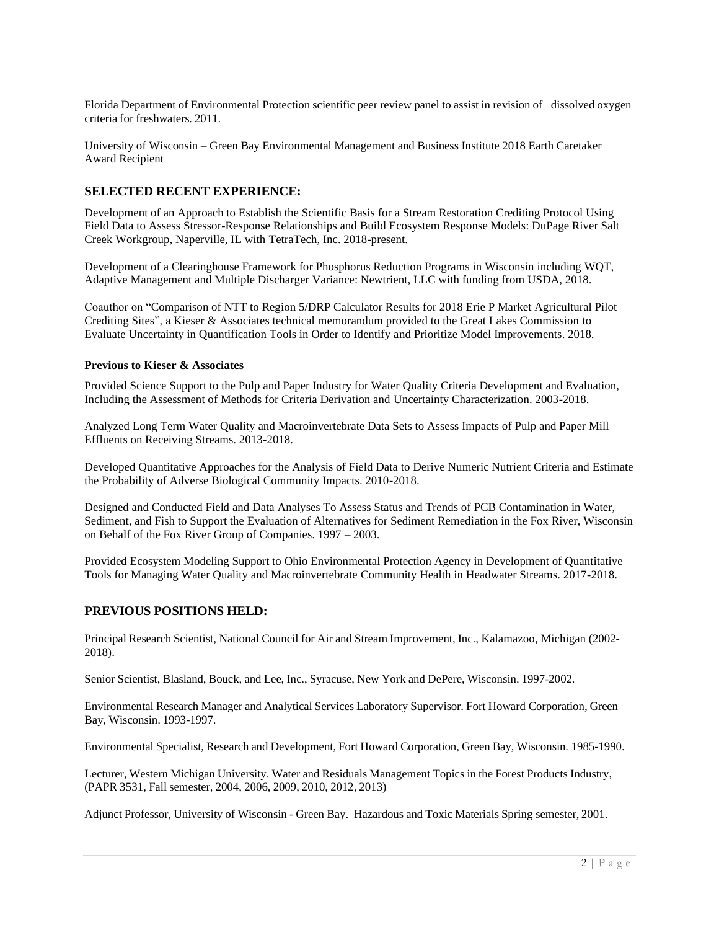Florida Department of Environmental Protection scientific peer review panel to assist in revision of dissolved oxygen criteria for freshwaters. 2011.

University of Wisconsin – Green Bay Environmental Management and Business Institute 2018 Earth Caretaker Award Recipient

# **SELECTED RECENT EXPERIENCE:**

Development of an Approach to Establish the Scientific Basis for a Stream Restoration Crediting Protocol Using Field Data to Assess Stressor-Response Relationships and Build Ecosystem Response Models: DuPage River Salt Creek Workgroup, Naperville, IL with TetraTech, Inc. 2018-present.

Development of a Clearinghouse Framework for Phosphorus Reduction Programs in Wisconsin including WQT, Adaptive Management and Multiple Discharger Variance: Newtrient, LLC with funding from USDA, 2018.

Coauthor on "Comparison of NTT to Region 5/DRP Calculator Results for 2018 Erie P Market Agricultural Pilot Crediting Sites", a Kieser & Associates technical memorandum provided to the Great Lakes Commission to Evaluate Uncertainty in Quantification Tools in Order to Identify and Prioritize Model Improvements. 2018.

#### **Previous to Kieser & Associates**

Provided Science Support to the Pulp and Paper Industry for Water Quality Criteria Development and Evaluation, Including the Assessment of Methods for Criteria Derivation and Uncertainty Characterization. 2003-2018.

Analyzed Long Term Water Quality and Macroinvertebrate Data Sets to Assess Impacts of Pulp and Paper Mill Effluents on Receiving Streams. 2013-2018.

Developed Quantitative Approaches for the Analysis of Field Data to Derive Numeric Nutrient Criteria and Estimate the Probability of Adverse Biological Community Impacts. 2010-2018.

Designed and Conducted Field and Data Analyses To Assess Status and Trends of PCB Contamination in Water, Sediment, and Fish to Support the Evaluation of Alternatives for Sediment Remediation in the Fox River, Wisconsin on Behalf of the Fox River Group of Companies. 1997 – 2003.

Provided Ecosystem Modeling Support to Ohio Environmental Protection Agency in Development of Quantitative Tools for Managing Water Quality and Macroinvertebrate Community Health in Headwater Streams. 2017-2018.

### **PREVIOUS POSITIONS HELD:**

Principal Research Scientist, National Council for Air and Stream Improvement, Inc., Kalamazoo, Michigan (2002- 2018).

Senior Scientist, Blasland, Bouck, and Lee, Inc., Syracuse, New York and DePere, Wisconsin. 1997-2002.

Environmental Research Manager and Analytical Services Laboratory Supervisor. Fort Howard Corporation, Green Bay, Wisconsin. 1993-1997.

Environmental Specialist, Research and Development, Fort Howard Corporation, Green Bay, Wisconsin. 1985-1990.

Lecturer, Western Michigan University. Water and Residuals Management Topics in the Forest Products Industry, (PAPR 3531, Fall semester, 2004, 2006, 2009, 2010, 2012, 2013)

Adjunct Professor, University of Wisconsin - Green Bay. Hazardous and Toxic Materials Spring semester, 2001.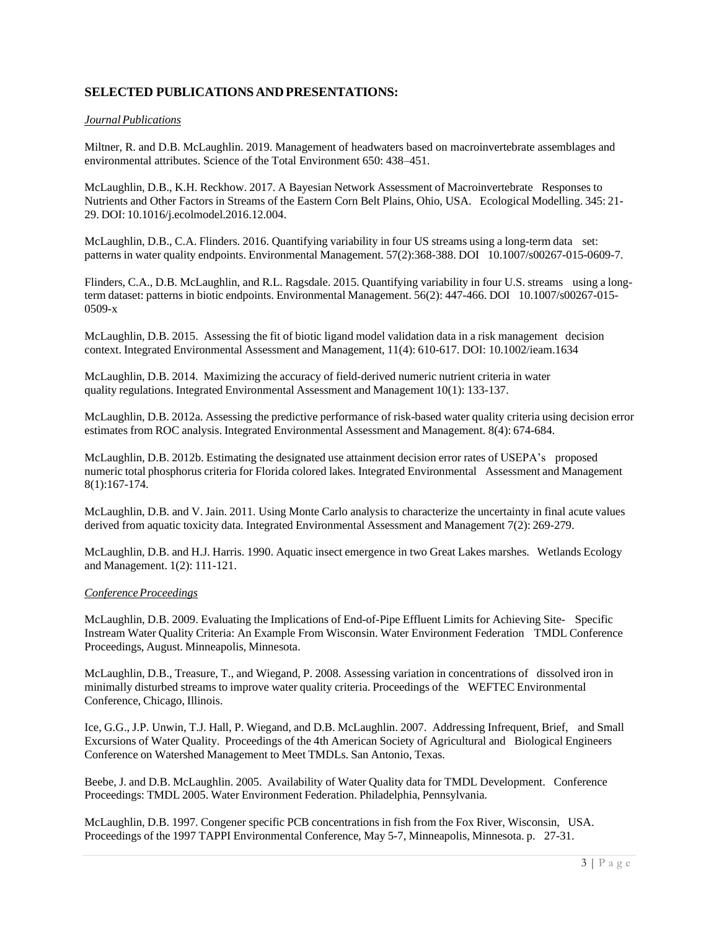# **SELECTED PUBLICATIONS AND PRESENTATIONS:**

#### *JournalPublications*

Miltner, R. and D.B. McLaughlin. 2019. Management of headwaters based on macroinvertebrate assemblages and environmental attributes. Science of the Total Environment 650: 438–451.

McLaughlin, D.B., K.H. Reckhow. 2017. A Bayesian Network Assessment of Macroinvertebrate Responses to Nutrients and Other Factors in Streams of the Eastern Corn Belt Plains, Ohio, USA. Ecological Modelling. 345: 21- 29. DOI: 10.1016/j.ecolmodel.2016.12.004.

McLaughlin, D.B., C.A. Flinders. 2016. Quantifying variability in four US streams using a long-term data set: patterns in water quality endpoints. Environmental Management. 57(2):368-388. DOI 10.1007/s00267-015-0609-7.

Flinders, C.A., D.B. McLaughlin, and R.L. Ragsdale. 2015. Quantifying variability in four U.S. streams using a longterm dataset: patterns in biotic endpoints. Environmental Management. 56(2): 447-466. DOI 10.1007/s00267-015- 0509-x

McLaughlin, D.B. 2015. Assessing the fit of biotic ligand model validation data in a risk management decision context. Integrated Environmental Assessment and Management, 11(4): 610-617. DOI: 10.1002/ieam.1634

McLaughlin, D.B. 2014. Maximizing the accuracy of field‐derived numeric nutrient criteria in water quality regulations. Integrated Environmental Assessment and Management 10(1): 133-137.

McLaughlin, D.B. 2012a. Assessing the predictive performance of risk-based water quality criteria using decision error estimates from ROC analysis. Integrated Environmental Assessment and Management. 8(4): 674-684.

McLaughlin, D.B. 2012b. Estimating the designated use attainment decision error rates of USEPA's proposed numeric total phosphorus criteria for Florida colored lakes. Integrated Environmental Assessment and Management 8(1):167-174.

McLaughlin, D.B. and V. Jain. 2011. Using Monte Carlo analysis to characterize the uncertainty in final acute values derived from aquatic toxicity data. Integrated Environmental Assessment and Management 7(2): 269-279.

McLaughlin, D.B. and H.J. Harris. 1990. Aquatic insect emergence in two Great Lakes marshes. Wetlands Ecology and Management. 1(2): 111-121.

#### *ConferenceProceedings*

McLaughlin, D.B. 2009. Evaluating the Implications of End-of-Pipe Effluent Limits for Achieving Site- Specific Instream Water Quality Criteria: An Example From Wisconsin. Water Environment Federation TMDL Conference Proceedings, August. Minneapolis, Minnesota.

McLaughlin, D.B., Treasure, T., and Wiegand, P. 2008. Assessing variation in concentrations of dissolved iron in minimally disturbed streams to improve water quality criteria. Proceedings of the WEFTEC Environmental Conference, Chicago, Illinois.

Ice, G.G., J.P. Unwin, T.J. Hall, P. Wiegand, and D.B. McLaughlin. 2007. Addressing Infrequent, Brief, and Small Excursions of Water Quality. Proceedings of the 4th American Society of Agricultural and Biological Engineers Conference on Watershed Management to Meet TMDLs. San Antonio, Texas.

Beebe, J. and D.B. McLaughlin. 2005. Availability of Water Quality data for TMDL Development. Conference Proceedings: TMDL 2005. Water Environment Federation. Philadelphia, Pennsylvania.

McLaughlin, D.B. 1997. Congener specific PCB concentrations in fish from the Fox River, Wisconsin, USA. Proceedings of the 1997 TAPPI Environmental Conference, May 5-7, Minneapolis, Minnesota. p. 27-31.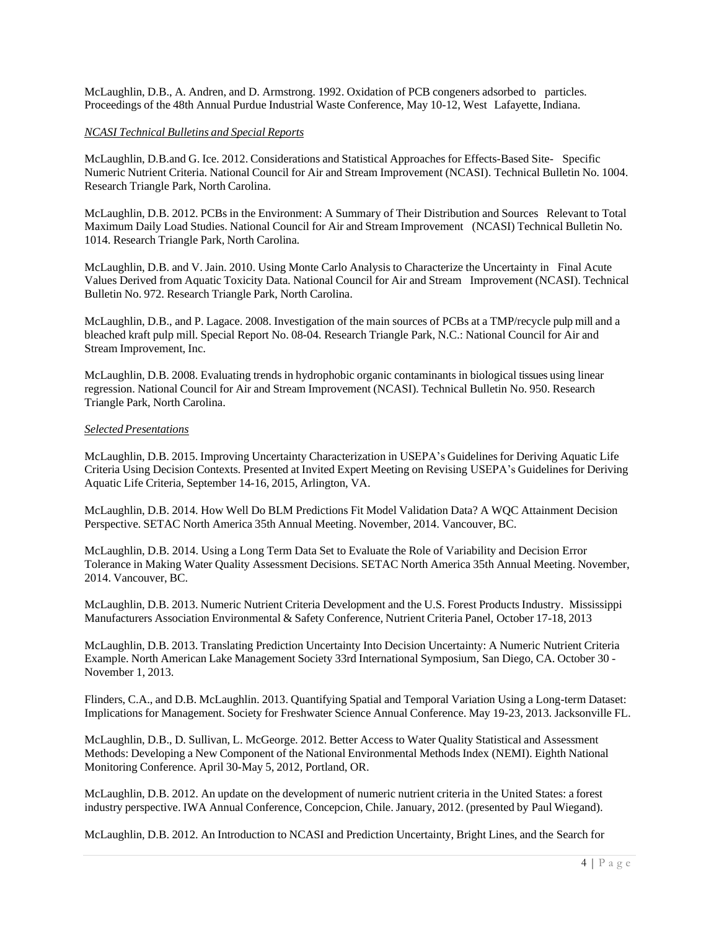McLaughlin, D.B., A. Andren, and D. Armstrong. 1992. Oxidation of PCB congeners adsorbed to particles. Proceedings of the 48th Annual Purdue Industrial Waste Conference, May 10-12, West Lafayette, Indiana.

#### *NCASI Technical Bulletins and Special Reports*

McLaughlin, D.B.and G. Ice. 2012. Considerations and Statistical Approaches for Effects-Based Site- Specific Numeric Nutrient Criteria. National Council for Air and Stream Improvement (NCASI). Technical Bulletin No. 1004. Research Triangle Park, North Carolina.

McLaughlin, D.B. 2012. PCBs in the Environment: A Summary of Their Distribution and Sources Relevant to Total Maximum Daily Load Studies. National Council for Air and Stream Improvement (NCASI) Technical Bulletin No. 1014. Research Triangle Park, North Carolina.

McLaughlin, D.B. and V. Jain. 2010. Using Monte Carlo Analysis to Characterize the Uncertainty in Final Acute Values Derived from Aquatic Toxicity Data. National Council for Air and Stream Improvement (NCASI). Technical Bulletin No. 972. Research Triangle Park, North Carolina.

McLaughlin, D.B., and P. Lagace. 2008. Investigation of the main sources of PCBs at a TMP/recycle pulp mill and a bleached kraft pulp mill. Special Report No. 08-04. Research Triangle Park, N.C.: National Council for Air and Stream Improvement, Inc.

McLaughlin, D.B. 2008. Evaluating trends in hydrophobic organic contaminants in biological tissues using linear regression. National Council for Air and Stream Improvement (NCASI). Technical Bulletin No. 950. Research Triangle Park, North Carolina.

#### *SelectedPresentations*

McLaughlin, D.B. 2015. Improving Uncertainty Characterization in USEPA's Guidelinesfor Deriving Aquatic Life Criteria Using Decision Contexts. Presented at Invited Expert Meeting on Revising USEPA's Guidelines for Deriving Aquatic Life Criteria, September 14-16, 2015, Arlington, VA.

McLaughlin, D.B. 2014. How Well Do BLM Predictions Fit Model Validation Data? A WQC Attainment Decision Perspective. SETAC North America 35th Annual Meeting. November, 2014. Vancouver, BC.

McLaughlin, D.B. 2014. Using a Long Term Data Set to Evaluate the Role of Variability and Decision Error Tolerance in Making Water Quality Assessment Decisions. SETAC North America 35th Annual Meeting. November, 2014. Vancouver, BC.

McLaughlin, D.B. 2013. Numeric Nutrient Criteria Development and the U.S. Forest ProductsIndustry. Mississippi Manufacturers Association Environmental & Safety Conference, Nutrient Criteria Panel, October 17-18, 2013

McLaughlin, D.B. 2013. Translating Prediction Uncertainty Into Decision Uncertainty: A Numeric Nutrient Criteria Example. North American Lake Management Society 33rd International Symposium, San Diego, CA. October 30 - November 1, 2013.

Flinders, C.A., and D.B. McLaughlin. 2013. Quantifying Spatial and Temporal Variation Using a Long-term Dataset: Implications for Management. Society for Freshwater Science Annual Conference. May 19-23, 2013. Jacksonville FL.

McLaughlin, D.B., D. Sullivan, L. McGeorge. 2012. Better Access to Water Quality Statistical and Assessment Methods: Developing a New Component of the National Environmental Methods Index (NEMI). Eighth National Monitoring Conference. April 30-May 5, 2012, Portland, OR.

McLaughlin, D.B. 2012. An update on the development of numeric nutrient criteria in the United States: a forest industry perspective. IWA Annual Conference, Concepcion, Chile. January, 2012. (presented by Paul Wiegand).

McLaughlin, D.B. 2012. An Introduction to NCASI and Prediction Uncertainty, Bright Lines, and the Search for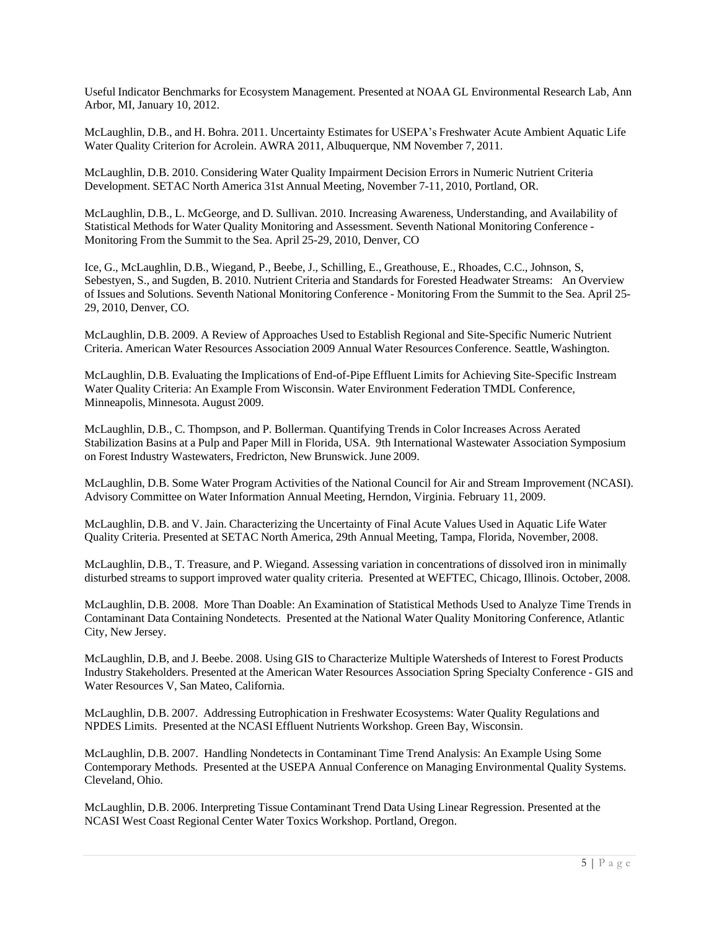Useful Indicator Benchmarks for Ecosystem Management. Presented at NOAA GL Environmental Research Lab, Ann Arbor, MI, January 10, 2012.

McLaughlin, D.B., and H. Bohra. 2011. Uncertainty Estimates for USEPA's Freshwater Acute Ambient Aquatic Life Water Quality Criterion for Acrolein. AWRA 2011, Albuquerque, NM November 7, 2011.

McLaughlin, D.B. 2010. Considering Water Quality Impairment Decision Errors in Numeric Nutrient Criteria Development. SETAC North America 31st Annual Meeting, November 7-11, 2010, Portland, OR.

McLaughlin, D.B., L. McGeorge, and D. Sullivan. 2010. Increasing Awareness, Understanding, and Availability of Statistical Methods for Water Quality Monitoring and Assessment. Seventh National Monitoring Conference - Monitoring From the Summit to the Sea. April 25-29, 2010, Denver, CO

Ice, G., McLaughlin, D.B., Wiegand, P., Beebe, J., Schilling, E., Greathouse, E., Rhoades, C.C., Johnson, S, Sebestyen, S., and Sugden, B. 2010. Nutrient Criteria and Standards for Forested Headwater Streams: An Overview of Issues and Solutions. Seventh National Monitoring Conference - Monitoring From the Summit to the Sea. April 25- 29, 2010, Denver, CO.

McLaughlin, D.B. 2009. A Review of Approaches Used to Establish Regional and Site-Specific Numeric Nutrient Criteria. American Water Resources Association 2009 Annual Water Resources Conference. Seattle, Washington.

McLaughlin, D.B. Evaluating the Implications of End-of-Pipe Effluent Limits for Achieving Site-Specific Instream Water Quality Criteria: An Example From Wisconsin. Water Environment Federation TMDL Conference, Minneapolis, Minnesota. August 2009.

McLaughlin, D.B., C. Thompson, and P. Bollerman. Quantifying Trends in Color Increases Across Aerated Stabilization Basins at a Pulp and Paper Mill in Florida, USA. 9th International Wastewater Association Symposium on Forest Industry Wastewaters, Fredricton, New Brunswick. June 2009.

McLaughlin, D.B. Some Water Program Activities of the National Council for Air and Stream Improvement (NCASI). Advisory Committee on Water Information Annual Meeting, Herndon, Virginia. February 11, 2009.

McLaughlin, D.B. and V. Jain. Characterizing the Uncertainty of Final Acute Values Used in Aquatic Life Water Quality Criteria. Presented at SETAC North America, 29th Annual Meeting, Tampa, Florida, November, 2008.

McLaughlin, D.B., T. Treasure, and P. Wiegand. Assessing variation in concentrations of dissolved iron in minimally disturbed streams to support improved water quality criteria. Presented at WEFTEC, Chicago, Illinois. October, 2008.

McLaughlin, D.B. 2008. More Than Doable: An Examination of Statistical Methods Used to Analyze Time Trends in Contaminant Data Containing Nondetects. Presented at the National Water Quality Monitoring Conference, Atlantic City, New Jersey.

McLaughlin, D.B, and J. Beebe. 2008. Using GIS to Characterize Multiple Watersheds of Interest to Forest Products Industry Stakeholders. Presented at the American Water Resources Association Spring Specialty Conference - GIS and Water Resources V, San Mateo, California.

McLaughlin, D.B. 2007. Addressing Eutrophication in Freshwater Ecosystems: Water Quality Regulations and NPDES Limits. Presented at the NCASI Effluent Nutrients Workshop. Green Bay, Wisconsin.

McLaughlin, D.B. 2007. Handling Nondetects in Contaminant Time Trend Analysis: An Example Using Some Contemporary Methods. Presented at the USEPA Annual Conference on Managing Environmental Quality Systems. Cleveland, Ohio.

McLaughlin, D.B. 2006. Interpreting Tissue Contaminant Trend Data Using Linear Regression. Presented at the NCASI West Coast Regional Center Water Toxics Workshop. Portland, Oregon.